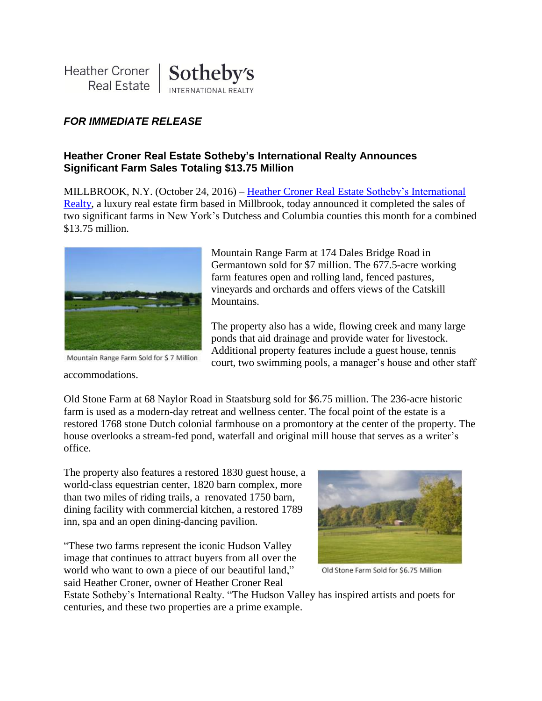## *FOR IMMEDIATE RELEASE*

## **Heather Croner Real Estate Sotheby's International Realty Announces Significant Farm Sales Totaling \$13.75 Million**

MILLBROOK, N.Y. (October 24, 2016) – [Heather Croner Real Estate](http://www.hcronerrealestate.com/eng) Sotheby's International [Realty,](http://www.hcronerrealestate.com/eng) a luxury real estate firm based in Millbrook, today announced it completed the sales of two significant farms in New York's Dutchess and Columbia counties this month for a combined \$13.75 million.



Mountain Range Farm Sold for \$7 Million

Mountain Range Farm at 174 Dales Bridge Road in Germantown sold for \$7 million. The 677.5-acre working farm features open and rolling land, fenced pastures, vineyards and orchards and offers views of the Catskill Mountains.

The property also has a wide, flowing creek and many large ponds that aid drainage and provide water for livestock. Additional property features include a guest house, tennis court, two swimming pools, a manager's house and other staff

accommodations.

Old Stone Farm at 68 Naylor Road in Staatsburg sold for \$6.75 million. The 236-acre historic farm is used as a modern-day retreat and wellness center. The focal point of the estate is a restored 1768 stone Dutch colonial farmhouse on a promontory at the center of the property. The house overlooks a stream-fed pond, waterfall and original mill house that serves as a writer's office.

The property also features a restored 1830 guest house, a world-class equestrian center, 1820 barn complex, more than two miles of riding trails, a renovated 1750 barn, dining facility with commercial kitchen, a restored 1789 inn, spa and an open dining-dancing pavilion.

"These two farms represent the iconic Hudson Valley image that continues to attract buyers from all over the world who want to own a piece of our beautiful land," said Heather Croner, owner of Heather Croner Real



Old Stone Farm Sold for \$6.75 Million

Estate Sotheby's International Realty. "The Hudson Valley has inspired artists and poets for centuries, and these two properties are a prime example.